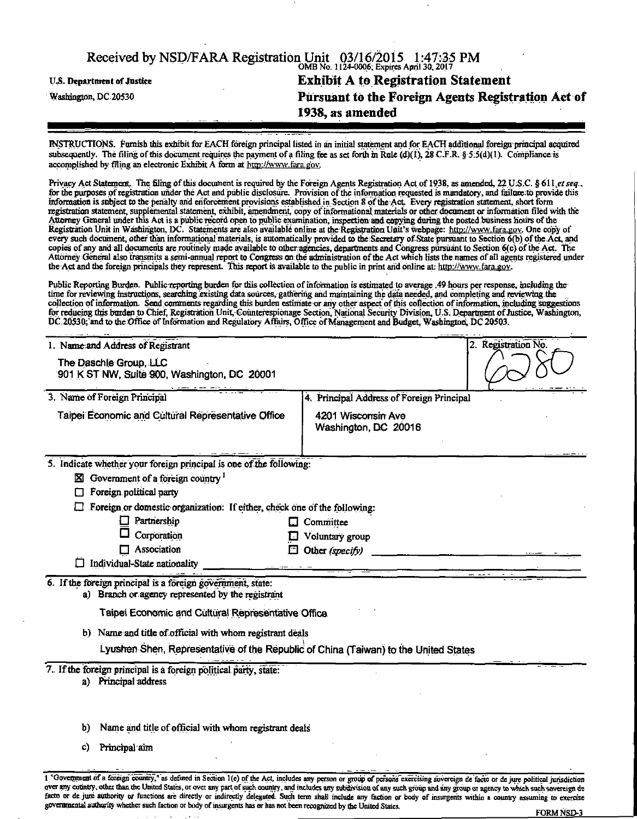| Received by NSD/FARA Registration Unit 03/16/2015 1:47:35 PM |                                                    |  |
|--------------------------------------------------------------|----------------------------------------------------|--|
| <b>U.S. Department of Justice</b>                            | <b>Exhibit A to Registration Statement</b>         |  |
| Washington, DC.20530                                         | Pursuant to the Foreign Agents Registration Act of |  |
|                                                              | 1938, as amended                                   |  |

INSTRUCTIONS. Furnish this exhibit for EACH foreign principal listed in an initial statement and for EACH additional fcragnprincapal acquired subsequently. The filing of this document requires the payment of a filing fee as set forth in Rule (d)(1), 28 C.F.R. § 5:5(d)(1). Compliance is accomplished by filing an electronic Exhibit A form at http://www. fara.g'oy.

Privacy Act Statement. The filing of this document is required by the Foreign Agents Registration Act of 1938, as amended, 22 U.S.C. § 611 et seq., for the purposes of registration under the Act and public disclosure. Provision of the information requested is mandatory, and failure; to provide this information is subject to the penalty and enforcement provisions established in Section 8 of the Act Every registration statement, short form registration statement, supplemental statement, exhibit, amendment, copy of informational materials or other document or information filed with the Attorney General under this Act is a public record open to public examination, inspection and copying during the posted business hours of the Registration Unit in Washington, DC. Statements are also available online at the Registration Unit's webpage: http://www.fara.gov. One copy of every such document, other than informational materials, is automatically provided to the Secretary of State pursuant to Section 6(b) of the Act, and copies of any and all documents are routinely made available to other agencies, departments and Congress pursuant to Section 6(c) of the Act. The Attorney General also transmits a semi-annual report to Congress on the administration of the Act which lists the names of all agents registered under the Act and the foreign principals they represent. This report is available to the public in print and online at http://www.fara.gov.

Public Reporting Burden. Public reporting burden for this collection of mfoirnation is estimated to average .49 hours per response, including the time for reviewing instructions, searching existing data sources, gathering and maintaining the data needed, and completing and reviewing the collection of information. Send comments regarding this burden estimate or any other aspect of this collection of information, including suggestions for reducing this burden to Chief, Registration Unit, Counterespionage Section, National Security Division, U.S. Department of Justice, Washington, DC,20536;'and to the Office of Information and Regulatory Affairs, Office of Management and Budget Washington, DC 20503.

| 1. Name and Address of Registrant                                                                                | 2. Registration No.                        |
|------------------------------------------------------------------------------------------------------------------|--------------------------------------------|
| The Daschle Group, LLC<br>901 K ST NW, Suite 900, Washington, DC 20001                                           |                                            |
| 3. Name of Foreign Principal                                                                                     | 4. Principal Address of Foreign Principal  |
| Taipei Economic and Cultural Representative Office                                                               | 4201 Wisconsin Ave<br>Washington, DC 20016 |
| 5. Indicate whether your foreign principal is one of the following:                                              |                                            |
| $\boxtimes$ Government of a foreign country $^1$                                                                 |                                            |
| Foreign political party                                                                                          |                                            |
| Foreign or domestic organization: If either, check one of the following:                                         |                                            |
| Partnership                                                                                                      | $\Box$ Committee                           |
| Corporation<br>$\Box$ Association                                                                                | Voluntary group                            |
| Individual-State nationality                                                                                     | $\Box$ Other (specify)                     |
| 6. If the foreign principal is a foreign government, state:<br>a) Branch or agency represented by the registrant |                                            |
| Taipei Economic and Cultural Representative Office.                                                              |                                            |
| b) Name and title of official with whom registrant deals                                                         |                                            |
| Lyushen Shen, Representative of the Republic of China (Taiwan) to the United States                              |                                            |
| 7. If the foreign principal is a foreign political party, state:<br>a) Principal address                         |                                            |
| Name and title of official with whom registrant deals<br>b)                                                      |                                            |
| Principal aim<br>C)                                                                                              |                                            |

1 "Government of a foreign country," as defined in Section 1(e) of the Act, includes any person or group of persons exercising sovereign de facto or de jure political jurisdiction oyer any country, other than the United States, or over any part of suck country, and includes any subttvision of any such group and any group or agency to which such sovereign de facto or de jure authority or functions are directly or indirectly delegated. Such term shall include any faction or body of insurgents within a country assuming to exercise governraental authority whether such faction or body of insurgents has or has not been recognized by the United States.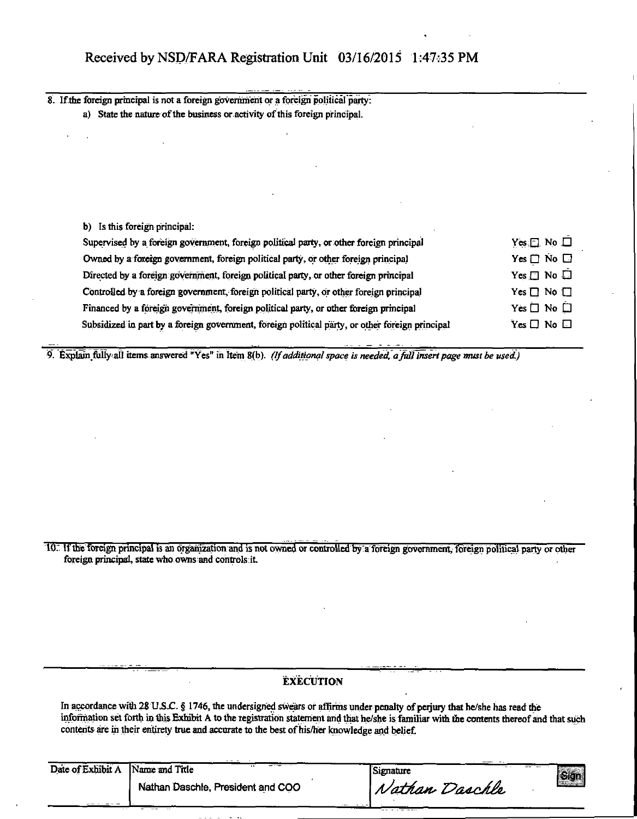| 8. If the foreign principal is not a foreign government or a foreign political party:   |                                            |
|-----------------------------------------------------------------------------------------|--------------------------------------------|
| a) State the nature of the business or activity of this foreign principal.              |                                            |
|                                                                                         |                                            |
|                                                                                         |                                            |
|                                                                                         |                                            |
|                                                                                         |                                            |
|                                                                                         |                                            |
|                                                                                         |                                            |
| b) Is this foreign principal:                                                           |                                            |
| Supervised by a foreign government, foreign political party, or other foreign principal | $Yes \Box No \Box$                         |
| Owned by a foreign government, foreign political party, or other foreign principal      | $Yes \Box No \Box$                         |
|                                                                                         |                                            |
| Directed by a foreign government, foreign political party, or other foreign principal   | $Yes \Box No \Box$                         |
| Controlled by a foreign government, foreign political party, or other foreign principal |                                            |
| Financed by a foreign government, foreign political party, or other foreign principal   | $Yes \Box No \Box$<br>Yes $\Box$ No $\Box$ |

9. Explain fully all items answered "Yes" in Item 8(b). (If additional space is needed, a full insert page must be used.)

10. If the foreign principal is an organization and is not owned or controlled by a foreign government, foreign political party or other foreign principal, state who owns and controls it.

## **EXECUTION**

In accordance with 28 U.S.C. § 1746, the undersigned swears or affirms under penalty of perjury that he/she has read the information set forth in this Exhibit A to the registration statement arid that he/she is familiar with the contents thereof and that such contents are in their entirety true and accurate to the best of his/her knowledge and belief.

| Date of Exhibit A Name and Title | $\cdots$                          | Signature      | $ \mathsf{Sign} $ |  |
|----------------------------------|-----------------------------------|----------------|-------------------|--|
|                                  | Nathan Daschle, President and COO | Nathan Daschle |                   |  |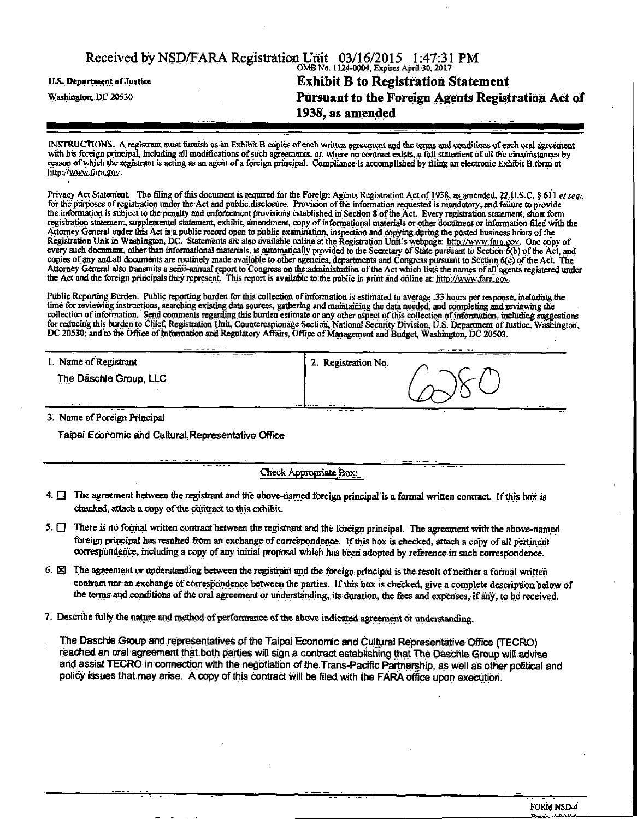|                                   | Received by NSD/FARA Registration Unit 03/16/2015 1:47:31 PM<br>OMB No. 1124-0004, Expires April 30, 2017 |
|-----------------------------------|-----------------------------------------------------------------------------------------------------------|
| <b>U.S. Department of Justice</b> | <b>Exhibit B to Registration Statement</b>                                                                |
| Washington, DC 20530              | Pursuant to the Foreign Agents Registration Act of<br>1938, as amended                                    |
|                                   |                                                                                                           |

INSTRUCTIONS. A registrant must famish as an Exhibit B copies of each written agrrement and the terms and conditionsof each oral agreement with his foreign principal, including all modifications of such agreements, or, where no contract exists, a full statement of all the circumstances by reason of which theregistrant is acting as an agent of a foreign principal. Compliance is accomplished by filing an electronic Exhibit B form at http://www.fara.gov.

Privacy Act Statement. The filing of this document is required for the Foreign Agents Registration Act of 1938, as amended, 22,U.S.C. § 611 et seq., for the purposes of registration under the Act and public disclosure. Provision of the information requested is mandatory, and failure to provide the information is subject to the penalty and enforcement provisions established in Section 8 of the Act Every registration statement, short form registration statement, supplemental statement, exhibit, amendment, copy of informational materials or other doroment or information filed with the Attorney General under this Act is a public record open to public examination, inspection and copying during the posted business hours of the Registration Unit in Washington, DC. Statements are also available online at the Registration Unit's webpage: http://www.fara;gov. One copy of every such document, other than informational materials, is automatically provided to the Secretary of State pursuant to Section 6(b) of the Act, and copies of any and all documents are routinely made available to other agencies, departments and Congress pursuant to Section 6(c) of the Act. The Attorney General also transmits a semi-annual report to Congress on the administration of the Act which lists the names of all agents registered under the Act and the foreign principals they represent. This report is available to the public in print and online at: http://www.fara.gov.

Public Reporting Burden. Public reporting burden for this collection of information is estimated to average .33 hours per response, including the time for reviewing instractions, searching existing data sources, gathering and maintaining the data needed, and completing and reviewing the collection of information. Send comments regarding this burden estimate or any other aspect of this collection of information, including suggestions for reducing this burden to Chief, Registration Unit, Counterespionage Section, National Security Division, U.S. Department of Justice, Washington, DC 20530; and to the Office of Information and Regulatory Affairs, Office of Management and Budget, Washington, DC 20503.

| 1. Name of Registrant                                                                                                          |   | 2. Registration No. | -- --- - |
|--------------------------------------------------------------------------------------------------------------------------------|---|---------------------|----------|
| The Daschle Group, LLC                                                                                                         |   |                     |          |
| <b>Contact Contact Contact Contact Contact Contact Contact Contact Contact Contact Contact Contact Contact Contact</b><br>---- | . | ---<br>---          |          |

3. Name of Foreign Principal

Taipei Economic and Cultural Representative Office

Check Appropriate Box.

- $4.$   $\Box$  The agreement between the registrant and the above-named foreign principal is a formal written contract. If this box is checked, attach a copy of the contract to this exhibit.
- 5.  $\Box$  There is no formal written contract between the registrant and the foreign principal. The agreement with the above-named foreign principal has resulted from an exchange of correspondence. If this box is checked, attach a copy of all pertinent correspondence, including a copy of any initial proposal which has been adopted by reference in such correspondence.
- 6. E The agreement or understanding between the registrant and the foreign principal is the result of neither a formal written contract nor an exchange of correspondence between the parties. If this box is checked, give a complete description below of the terms and conditions of the oral agreement or understanding, its duration, the fees and expenses, if any, to be received.
- 7. Describe fiilly the nature and method of performance of the above indicated agreement or understanding.

The Daschle Group and representatives of the Taipei Economic and Cultural Representative Office (TECRO) reached an oral-agreement that both parties will sign a contract establishing that The Daschle Sroup will advise arid assist TECRO in connection with the negotiation of the Trans-Pacific Partnership, as well as other political and policy issues that may arise. A copy of this contract will be filed with the FARA office upon execution.